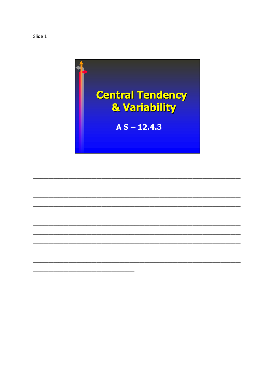

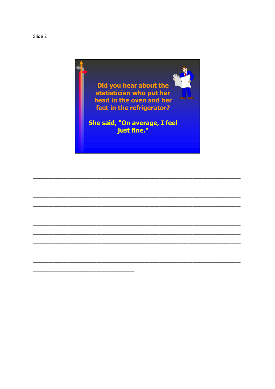

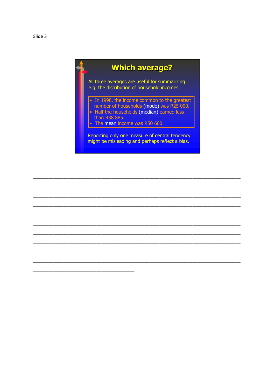## **Which average?**

All three averages are useful for summarizing e.g. the distribution of household incomes.

- In 1998, the income common to the greatest
- number of households (mode) was R25 000.<br>• Half the households (median) earned less than R38 885.
- 
- The mean income was R50 600.

Reporting only one measure of central tendency might be misleading and perhaps reflect a bias.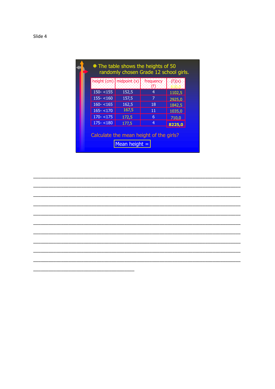|               |       | height (cm) midpoint (x)   frequency   (f)(x)  <br>  1999  (f)  1999 |        |
|---------------|-------|----------------------------------------------------------------------|--------|
| $150 - 155$   | 152,5 | 4                                                                    | 1102,5 |
| $155 - < 160$ | 157,5 | 7                                                                    | 2925,0 |
| $160 - 165$   | 162,5 | 18                                                                   | 1842,5 |
| $165 - 170$   | 167,5 | 11                                                                   | 1035,0 |
| $170 - 175$   | 172,5 | 6                                                                    | 710,0  |
| $175 - 180$   | 177,5 | 4                                                                    | 8225,0 |

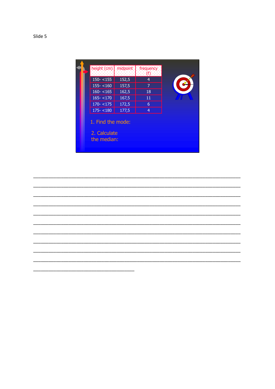| height (cm) midpoint                             |       | frequency.     |  |
|--------------------------------------------------|-------|----------------|--|
| $150 - 155$                                      | 152,5 | 4              |  |
| $155 - < 160$                                    | 157,5 | 7              |  |
| $160 - 165$                                      | 162,5 | 18             |  |
| $165 - 170$                                      | 167,5 | 11             |  |
| $170 - 175$                                      | 172,5 | 6              |  |
| $175 - 180$                                      | 177,5 | $\overline{4}$ |  |
| 1. Find the mode:<br>2. Calculate<br>the median: |       |                |  |

 $\overline{\phantom{0}}$ 

Slide 5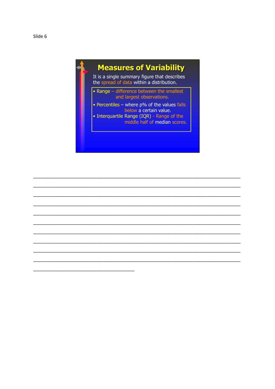## **Measures of Variability**

It is a single summary figure that describes the spread of data within a distribution.

- Range difference between the smallest and largest observations.
- Percentiles where p% of the values falls below a certain value.
- Interquartile Range (IQR) Range of the<br>middle half of median scores.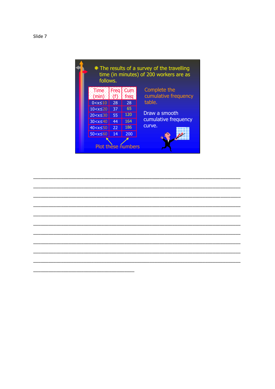

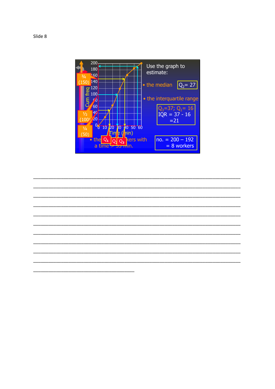

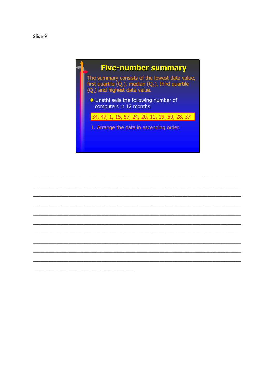Slide 9



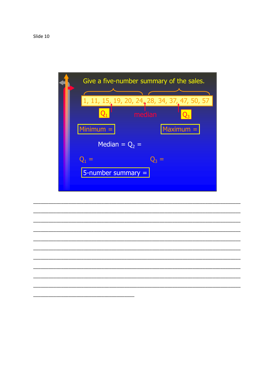

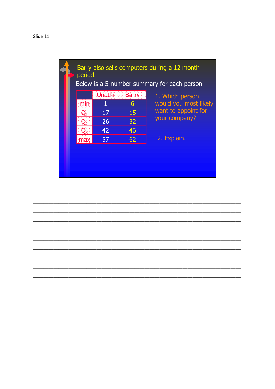

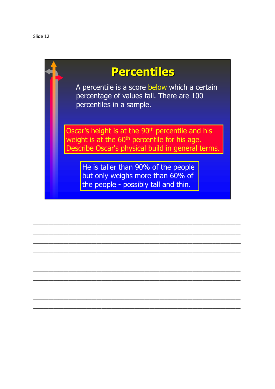## **Percentiles**

A percentile is a score below which a certain percentage of values fall. There are 100 percentiles in a sample.

Oscar's height is at the 90<sup>th</sup> percentile and his weight is at the 60<sup>th</sup> percentile for his age. Describe Oscar's physical build in general terms.

He is taller than 90% of the people but only weighs more than 60% of the people - possibly tall and thin.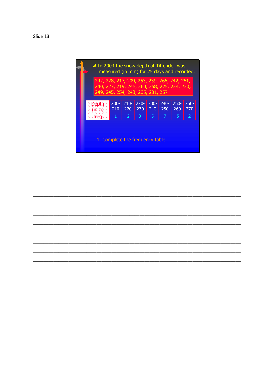| Slide |  |
|-------|--|
|-------|--|

| * In 2004 the snow depth at Tiffendell was<br>measured (in mm) for 25 days and recorded.                                           |                |                |                |                |                |                |                |  |
|------------------------------------------------------------------------------------------------------------------------------------|----------------|----------------|----------------|----------------|----------------|----------------|----------------|--|
| 242, 228, 217, 209, 253, 239, 266, 242, 251,<br>240, 223, 219, 246, 260, 258, 225, 234, 230,<br>249, 245, 254, 243, 235, 231, 257. |                |                |                |                |                |                |                |  |
| :Depth<br>$(\min)$                                                                                                                 | $200 -$<br>210 | $210 -$<br>220 | $220 -$<br>230 | $230 -$<br>240 | $240 -$<br>250 | $250 -$<br>260 | $260 -$<br>270 |  |
| : frea                                                                                                                             | ♦              | $\overline{2}$ | 3              | 5              | 7              | 5              | 2              |  |
| 1. Complete the frequency table.                                                                                                   |                |                |                |                |                |                |                |  |